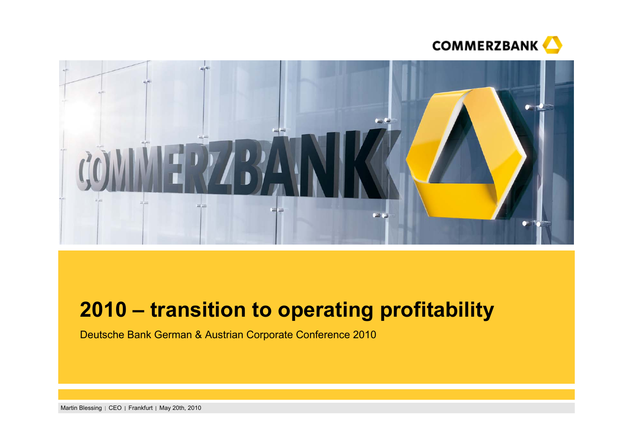



# **2010 – transition to operating profitability**

Deutsche Bank German & Austrian Corporate Conference 2010

Martin Blessing | CEO | Frankfurt | May 20th, 2010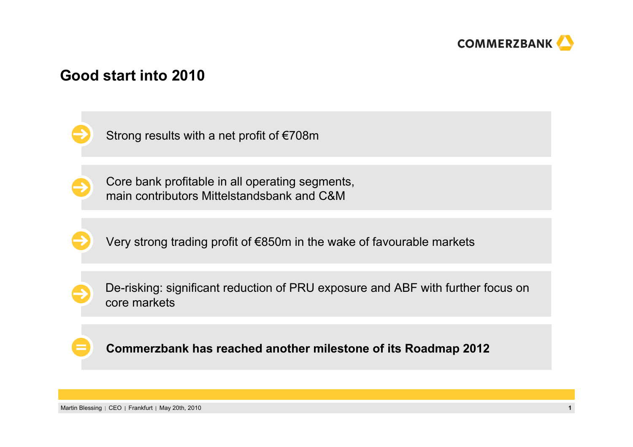

### **Good start into 2010**

Strong results with a net profit of €708m

Core bank profitable in all operating segments, main contributors Mittelstandsbank and C&M

Very strong trading profit of €850m in the wake of favourable markets

De-risking: significant reduction of PRU exposure and ABF with further focus on core markets

**Commerzbank has reached another milestone of its Roadmap 2012**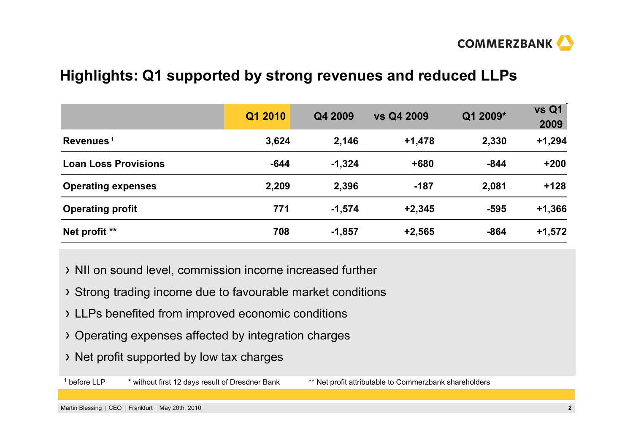

### **Highlights: Q1 supported by strong revenues and reduced LLPs**

|                             | Q1 2010 | Q4 2009  | vs Q4 2009 | Q1 2009* | <b>vs Q1</b><br>2009 |
|-----------------------------|---------|----------|------------|----------|----------------------|
| Revenues <sup>1</sup>       | 3,624   | 2,146    | $+1,478$   | 2,330    | $+1,294$             |
| <b>Loan Loss Provisions</b> | $-644$  | $-1,324$ | +680       | $-844$   | $+200$               |
| <b>Operating expenses</b>   | 2,209   | 2,396    | $-187$     | 2,081    | $+128$               |
| <b>Operating profit</b>     | 771     | $-1,574$ | $+2,345$   | $-595$   | $+1,366$             |
| Net profit **               | 708     | $-1,857$ | $+2,565$   | $-864$   | $+1,572$             |

- NII on sound level, commission income increased further
- Strong trading income due to favourable market conditions
- LLPs benefited from improved economic conditions
- Operating expenses affected by integration charges
- Net profit supported by low tax charges

<sup>1</sup> before LLP \* without first 12 days result of Dresdner Bank \*\* Net profit attributable to Commerzbank shareholders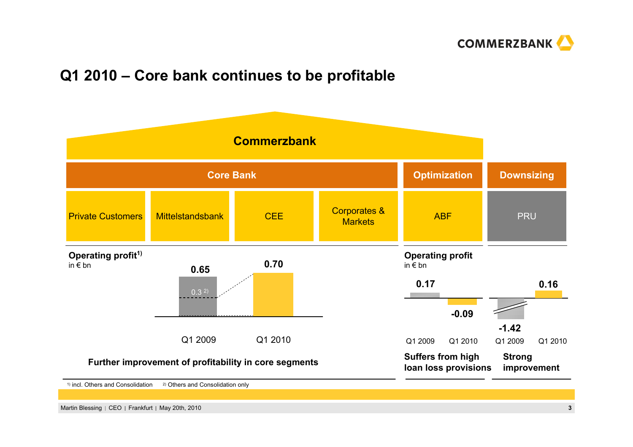

### **Q1 2010 – Core bank continues to be profitable**



Martin Blessing CEO Frankfurt May 20th, 2010 **3**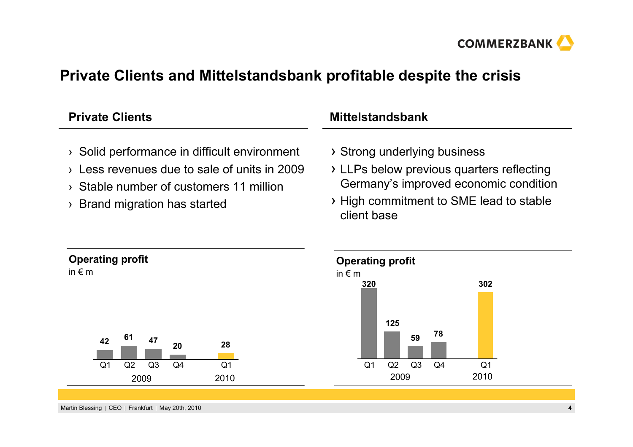

### **Private Clients and Mittelstandsbank profitable despite the crisis**

| <b>Private Clients</b>                                                                                                                                                                                                   | <b>Mittelstandsbank</b>                                                                                                                                                      |  |  |
|--------------------------------------------------------------------------------------------------------------------------------------------------------------------------------------------------------------------------|------------------------------------------------------------------------------------------------------------------------------------------------------------------------------|--|--|
| $\rightarrow$ Solid performance in difficult environment<br>Less revenues due to sale of units in 2009<br>$\sum_{i=1}^{n}$<br>> Stable number of customers 11 million<br>Brand migration has started<br>$\sum_{i=1}^{n}$ | > Strong underlying business<br>> LLPs below previous quarters reflecting<br>Germany's improved economic condition<br>> High commitment to SME lead to stable<br>client base |  |  |
| <b>Operating profit</b><br>in $\epsilon$ m<br>61<br>47<br>42<br>28<br>20<br>Q2<br>Q3<br>Q <sub>4</sub><br>Q <sub>1</sub><br>Q <sub>1</sub><br>2009<br>2010                                                               | <b>Operating profit</b><br>in $\notin$ m<br>320<br>302<br>125<br>78<br>59<br>Q <sub>1</sub><br>Q2<br>Q3<br>Q <sub>4</sub><br>Q <sub>1</sub><br>2009<br>2010                  |  |  |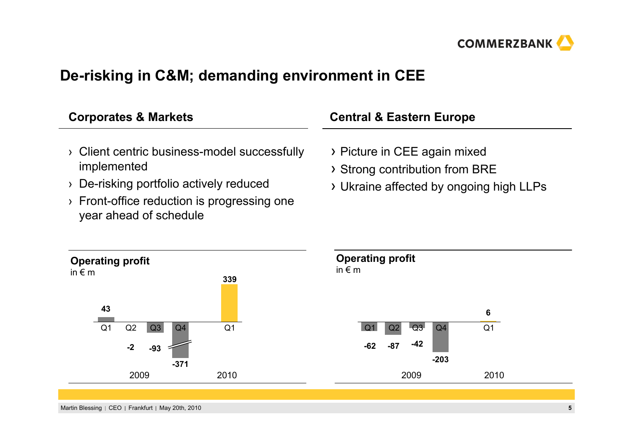

## **De-risking in C&M; demanding environment in CEE**

| <b>Corporates &amp; Markets</b>                             | <b>Central &amp; Eastern Europe</b>                            |  |  |
|-------------------------------------------------------------|----------------------------------------------------------------|--|--|
| > Client centric business-model successfully<br>implemented | > Picture in CEE again mixed<br>> Strong contribution from BRE |  |  |
| $\rightarrow$ De-risking portfolio actively reduced         | > Ukraine affected by ongoing high LLPs                        |  |  |
| $\rightarrow$ Front-office reduction is progressing one     |                                                                |  |  |





#### Martin Blessing | CEO | Frankfurt | May 20th, 2010 **5**

year ahead of schedule

 $\overline{\phantom{0}}$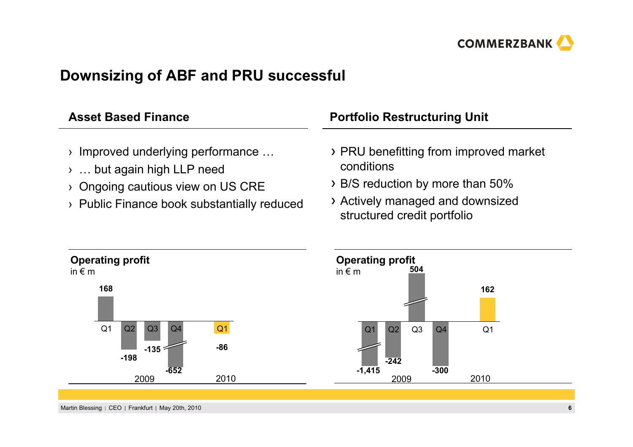

### **Downsizing of ABF and PRU successful**

| <b>Asset Based Finance</b>                                                                                                                                      | <b>Portfolio Restructuring Unit</b>                                                                                                                         |  |  |
|-----------------------------------------------------------------------------------------------------------------------------------------------------------------|-------------------------------------------------------------------------------------------------------------------------------------------------------------|--|--|
| $\rightarrow$ Improved underlying performance<br>>  but again high LLP need<br>> Ongoing cautious view on US CRE<br>> Public Finance book substantially reduced | > PRU benefitting from improved market<br>conditions<br>> B/S reduction by more than 50%<br>> Actively managed and downsized<br>structured credit portfolio |  |  |



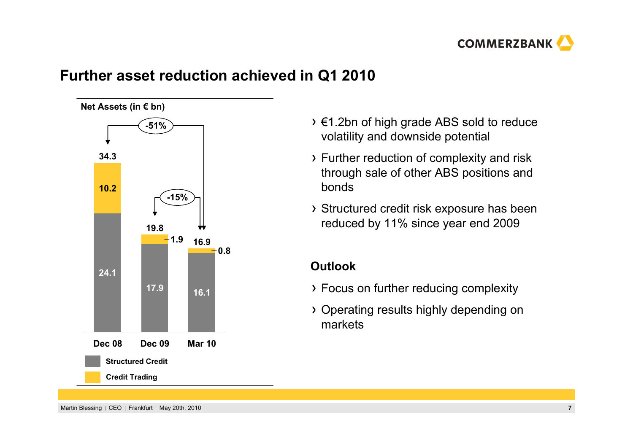

### **Further asset reduction achieved in Q1 2010**



- €1.2bn of high grade ABS sold to reduce volatility and downside potential
- Further reduction of complexity and risk through sale of other ABS positions and bonds
- Structured credit risk exposure has been reduced by 11% since year end 2009

### **Outlook**

- Focus on further reducing complexity
- Operating results highly depending on markets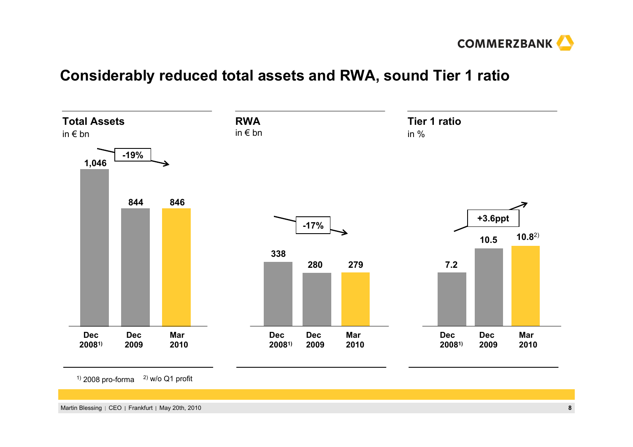

### **Considerably reduced total assets and RWA, sound Tier 1 ratio**



 $1)$  2008 pro-forma 2) w/o Q1 profit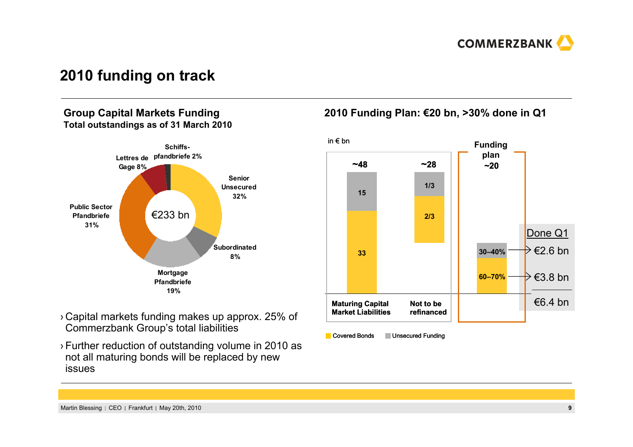

### **2010 funding on track**

#### **Group Capital Markets Funding Total outstandings as of 31 March 2010**



- › Capital markets funding makes up approx. 25% of Commerzbank Group's total liabilities
- › Further reduction of outstanding volume in 2010 as not all maturing bonds will be replaced by new issues

### **2010 Funding Plan: €20 bn, >30% done in Q1**



**Covered Bonds Unsecured Funding**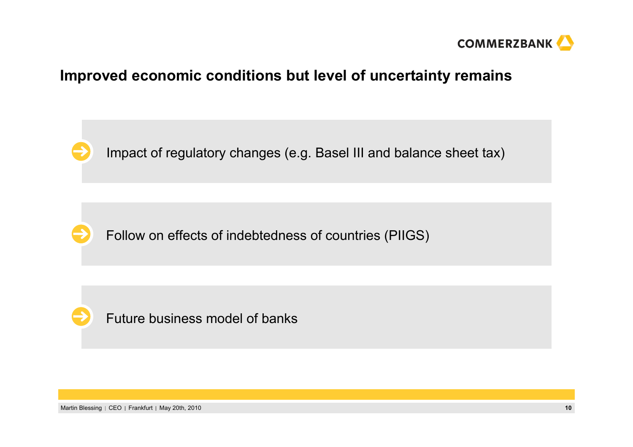

### **Improved economic conditions but level of uncertainty remains**



Impact of regulatory changes (e.g. Basel III and balance sheet tax)



Follow on effects of indebtedness of countries (PIIGS)



Future business model of banks

Martin Blessing CEO Frankfurt May 20th, 2010 **10**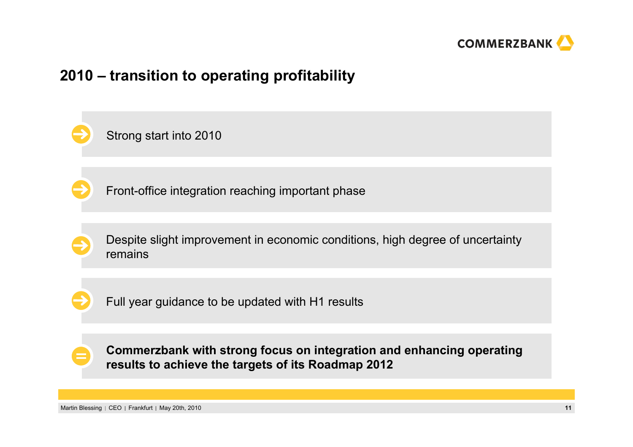

### **2010 – transition to operating profitability**

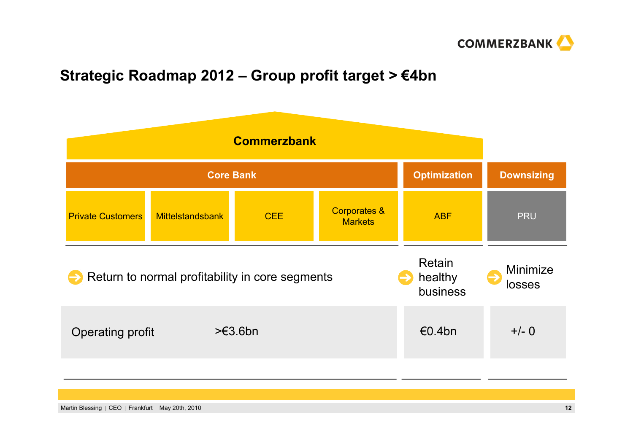

## **Strategic Roadmap 2012 – Group profit target > €4bn**

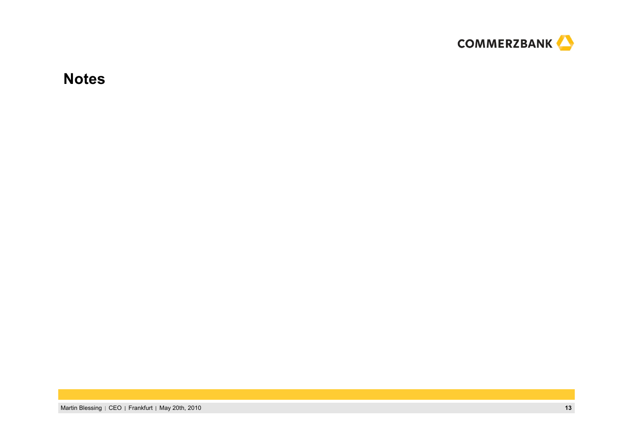

**Notes**

Martin Blessing | CEO | Frankfurt | May 20th, 2010 **13**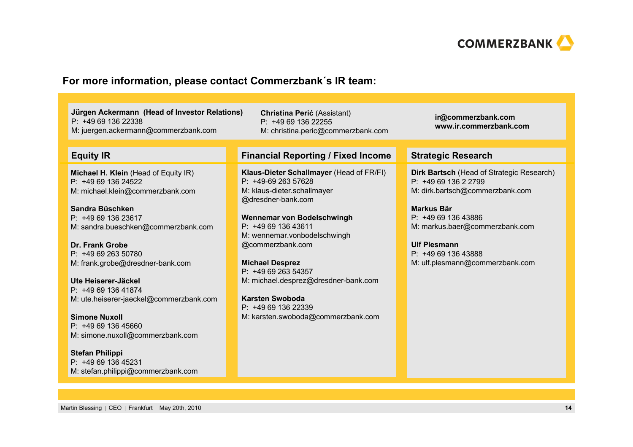

#### **For more information, please contact Commerzbank´s IR team:**

**Jürgen Ackermann (Head of Investor Relations)** P: +49 69 136 22338M: juergen.ackermann@commerzbank.com

**Michael H. Klein** (Head of Equity IR) P: +49 69 136 24522M: michael.klein@commerzbank.com

**Sandra Büschken**P: +49 69 136 23617M: sandra.bueschken@commerzbank.com

**Dr. Frank Grobe**P: +49 69 263 50780M: frank.grobe@dresdner-bank.com

**Ute Heiserer-Jäckel**P: +49 69 136 41874M: ute.heiserer-jaeckel@commerzbank.com

**Simone Nuxoll**P: +49 69 136 45660M: simone.nuxoll@commerzbank.com

**Stefan Philippi** P: +49 69 136 45231M: stefan.philippi@commerzbank.com

**Christina Perić** (Assistant) P: +49 69 136 22255 M: christina.peric@commerzbank.com

#### **Equity IR Financial Reporting / Fixed Income Strategic Research**

**Klaus-Dieter Schallmayer** (Head of FR/FI) P: +49-69 263 57628M: klaus-dieter.schallmayer @dresdner-bank.com

**Wennemar von Bodelschwingh** P: +49 69 136 43611M: wennemar.vonbodelschwingh @commerzbank.com

**Michael Desprez** P: +49 69 263 54357M: michael.desprez@dresdner-bank.com

**Karsten Swoboda**P: +49 69 136 22339M: karsten.swoboda@commerzbank.com **ir@commerzbank.com www.ir.commerzbank.com**

**Dirk Bartsch** (Head of Strategic Research)  $P: +496913622799$ M: dirk.bartsch@commerzbank.com

**Markus Bär**P: +49 69 136 43886 M: markus.baer@commerzbank.com

**Ulf Plesmann**P: +49 69 136 43888 M: ulf.plesmann@commerzbank.com